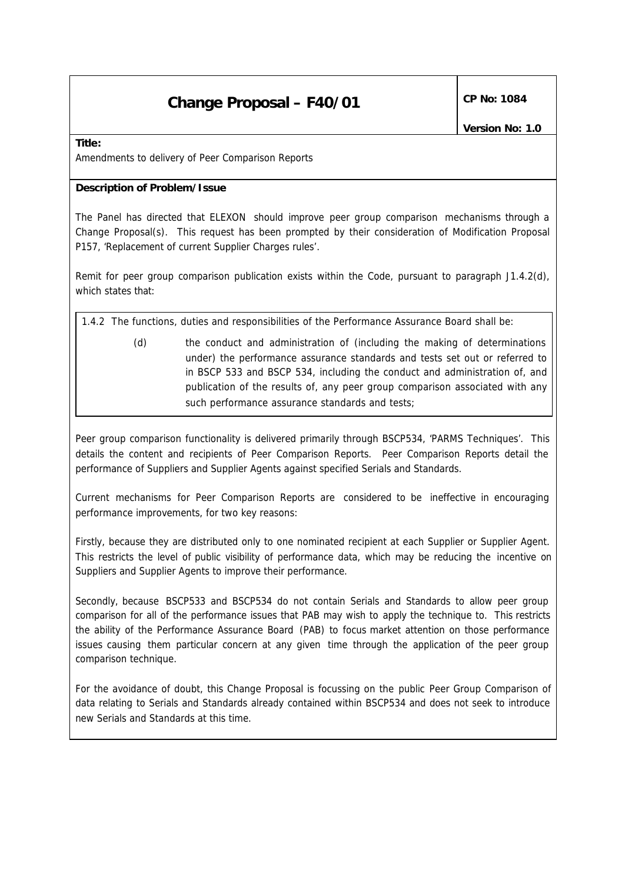## **Change Proposal – F40/01**  $\left|\begin{array}{cc} \text{CP No: } 1084 \end{array}\right|$

*Version No: 1.0*

**Title:** 

Amendments to delivery of Peer Comparison Reports

#### **Description of Problem/Issue**

The Panel has directed that ELEXON should improve peer group comparison mechanisms through a Change Proposal(s). This request has been prompted by their consideration of Modification Proposal P157, 'Replacement of current Supplier Charges rules'.

Remit for peer group comparison publication exists within the Code, pursuant to paragraph J1.4.2(d), which states that:

*1.4.2 The functions, duties and responsibilities of the Performance Assurance Board shall be:*

*(d) the conduct and administration of (including the making of determinations under) the performance assurance standards and tests set out or referred to in BSCP 533 and BSCP 534, including the conduct and administration of, and publication of the results of, any peer group comparison associated with any such performance assurance standards and tests;*

Peer group comparison functionality is delivered primarily through BSCP534, 'PARMS Techniques'. This details the content and recipients of Peer Comparison Reports. Peer Comparison Reports detail the performance of Suppliers and Supplier Agents against specified Serials and Standards.

Current mechanisms for Peer Comparison Reports are considered to be ineffective in encouraging performance improvements, for two key reasons:

Firstly, because they are distributed only to one nominated recipient at each Supplier or Supplier Agent. This restricts the level of public visibility of performance data, which may be reducing the incentive on Suppliers and Supplier Agents to improve their performance.

Secondly, because BSCP533 and BSCP534 do not contain Serials and Standards to allow peer group comparison for all of the performance issues that PAB may wish to apply the technique to. This restricts the ability of the Performance Assurance Board (PAB) to focus market attention on those performance issues causing them particular concern at any given time through the application of the peer group comparison technique.

For the avoidance of doubt, this Change Proposal is focussing on the public Peer Group Comparison of data relating to Serials and Standards already contained within BSCP534 and does not seek to introduce new Serials and Standards at this time.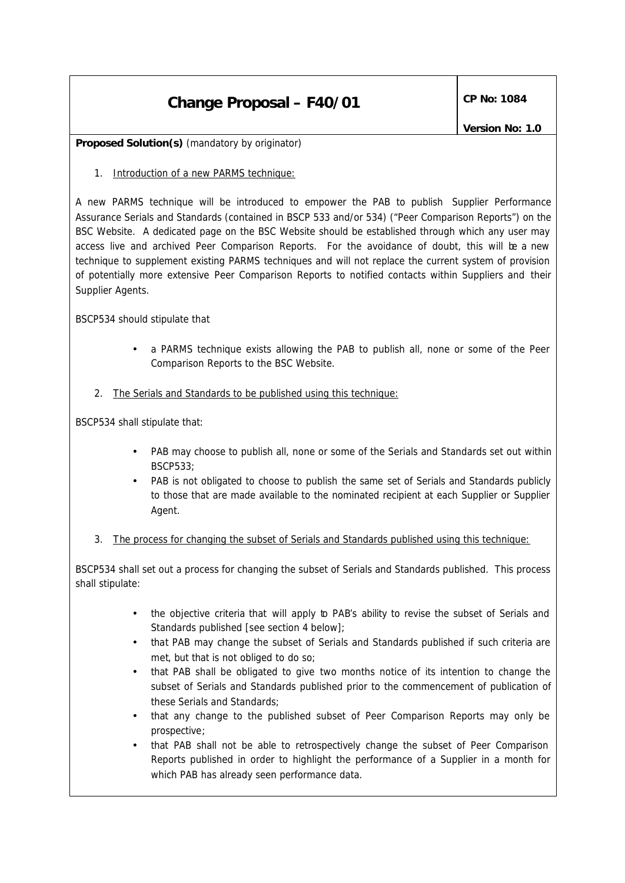# **Change Proposal – F40/01**  $\left|\begin{array}{cc} \text{CP No: } 1084 \end{array}\right|$

**Proposed Solution(s)** *(mandatory by originator)*

1. Introduction of a new PARMS technique:

A new PARMS technique will be introduced to empower the PAB to publish Supplier Performance Assurance Serials and Standards (contained in BSCP 533 and/or 534) ("Peer Comparison Reports") on the BSC Website. A dedicated page on the BSC Website should be established through which any user may access live and archived Peer Comparison Reports. For the avoidance of doubt, this will be a new technique to supplement existing PARMS techniques and will not replace the current system of provision of potentially more extensive Peer Comparison Reports to notified contacts within Suppliers and their Supplier Agents.

BSCP534 should stipulate that

- a PARMS technique exists allowing the PAB to publish all, none or some of the Peer Comparison Reports to the BSC Website.
- 2. The Serials and Standards to be published using this technique:

BSCP534 shall stipulate that:

- PAB may choose to publish all, none or some of the Serials and Standards set out within BSCP533;
- PAB is not obligated to choose to publish the same set of Serials and Standards publicly to those that are made available to the nominated recipient at each Supplier or Supplier Agent.
- 3. The process for changing the subset of Serials and Standards published using this technique:

BSCP534 shall set out a process for changing the subset of Serials and Standards published. This process shall stipulate:

- the objective criteria that will apply to PAB's ability to revise the subset of Serials and Standards published [see section 4 below];
- that PAB may change the subset of Serials and Standards published if such criteria are met, but that is not obliged to do so;
- that PAB shall be obligated to give two months notice of its intention to change the subset of Serials and Standards published prior to the commencement of publication of these Serials and Standards;
- that any change to the published subset of Peer Comparison Reports may only be prospective;
- that PAB shall not be able to retrospectively change the subset of Peer Comparison Reports published in order to highlight the performance of a Supplier in a month for which PAB has already seen performance data.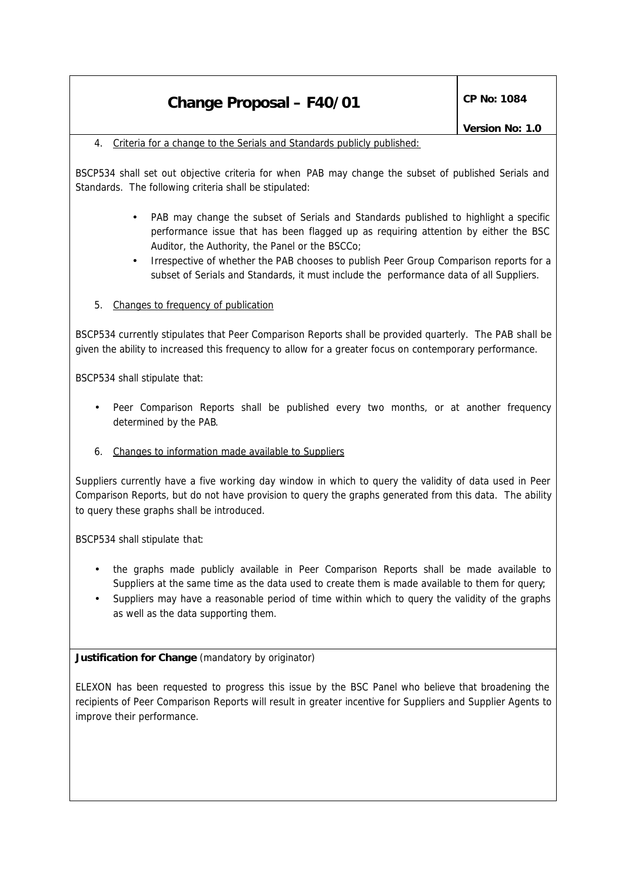### **Change Proposal – F40/01**  $\left|\begin{array}{cc} \text{CP No: } 1084 \end{array}\right|$

#### 4. Criteria for a change to the Serials and Standards publicly published:

BSCP534 shall set out objective criteria for when PAB may change the subset of published Serials and Standards. The following criteria shall be stipulated:

- PAB may change the subset of Serials and Standards published to highlight a specific performance issue that has been flagged up as requiring attention by either the BSC Auditor, the Authority, the Panel or the BSCCo;
- Irrespective of whether the PAB chooses to publish Peer Group Comparison reports for a subset of Serials and Standards, it must include the performance data of all Suppliers.

### 5. Changes to frequency of publication

BSCP534 currently stipulates that Peer Comparison Reports shall be provided quarterly. The PAB shall be given the ability to increased this frequency to allow for a greater focus on contemporary performance.

BSCP534 shall stipulate that:

• Peer Comparison Reports shall be published every two months, or at another frequency determined by the PAB.

### 6. Changes to information made available to Suppliers

Suppliers currently have a five working day window in which to query the validity of data used in Peer Comparison Reports, but do not have provision to query the graphs generated from this data. The ability to query these graphs shall be introduced.

BSCP534 shall stipulate that:

- the graphs made publicly available in Peer Comparison Reports shall be made available to Suppliers at the same time as the data used to create them is made available to them for query;
- Suppliers may have a reasonable period of time within which to query the validity of the graphs as well as the data supporting them.

**Justification for Change** *(mandatory by originator)*

ELEXON has been requested to progress this issue by the BSC Panel who believe that broadening the recipients of Peer Comparison Reports will result in greater incentive for Suppliers and Supplier Agents to improve their performance.